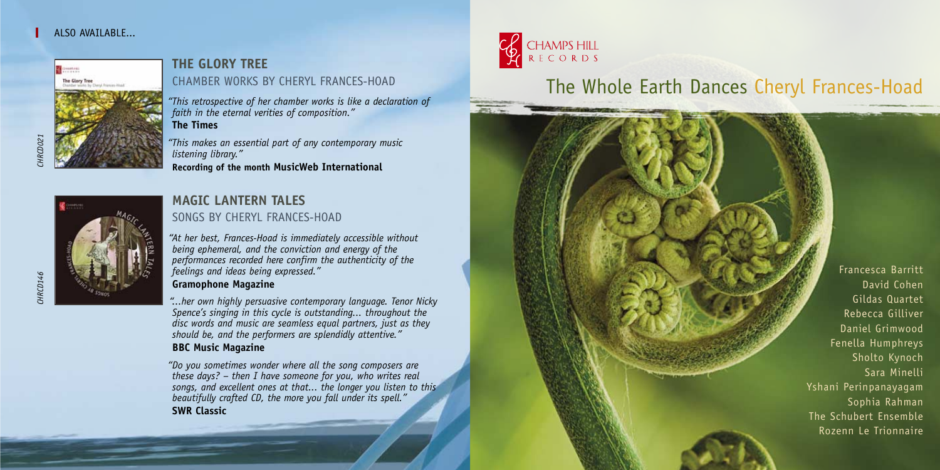## ALSO AVATIARIE



## **THE GLORY TREE**  CHAMBER WORKS BY CHERYL FRANCES-HOAD

*"This retrospective of her chamber works is like a declaration of faith in the eternal verities of composition."* **The Times**

*"This makes an essential part of any contemporary music listening library."* 

**Recording of the month MusicWeb International**



## **MAGIC LANTERN TALES**  SONGS BY CHERYL FRANCES-HOAD

*"At her best, Frances-Hoad is immediately accessible without being ephemeral, and the conviction and energy of the performances recorded here confirm the authenticity of the feelings and ideas being expressed."* 

## **Gramophone Magazine**

*"...her own highly persuasive contemporary language. Tenor Nicky Spence's singing in this cycle is outstanding... throughout the disc words and music are seamless equal partners, just as they should be, and the performers are splendidly attentive."*  **BBC Music Magazine**

*"Do you sometimes wonder where all the song composers are these days? – then I have someone for you, who writes real songs, and excellent ones at that... the longer you listen to this beautifully crafted CD, the more you fall under its spell."* **SWR Classic**



# The Whole Earth Dances Cheryl Frances-Hoad

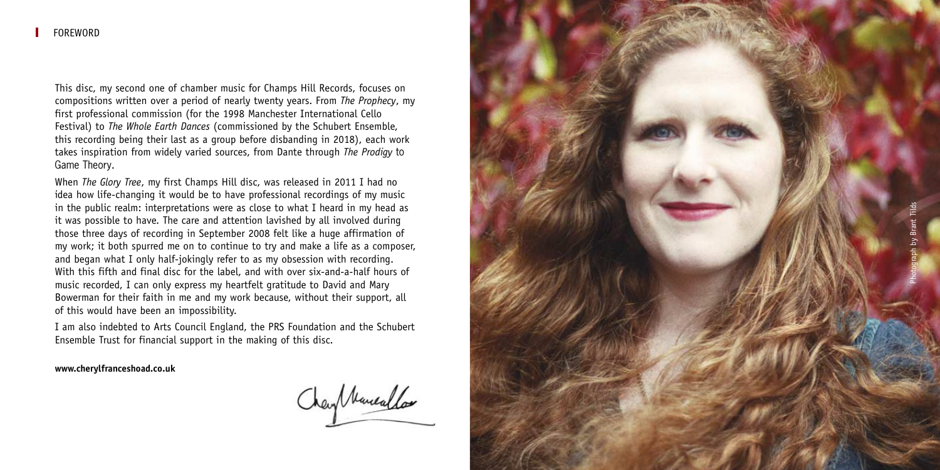This disc, my second one of chamber music for Champs Hill Records, focuses on compositions written over a period of nearly twenty years. From *The Prophecy*, my first professional commission (for the 1998 Manchester International Cello Festival) to *The Whole Earth Dances* (commissioned by the Schubert Ensemble, this recording being their last as a group before disbanding in 2018), each work takes inspiration from widely varied sources, from Dante through *The Prodigy* to Game Theory .

When *The Glory Tree*, my first Champs Hill disc, was released in 2011 I had no idea how life-changing it would be to have professional recordings of my music in the public realm: interpretations were as close to what I heard in my head as it was possible to have. The care and attention lavished by all involved during those three days of recording in September 2008 felt like a huge affirmation of my work; it both spurred me on to continue to try and make a life as a composer, and began what I only half-jokingly refer to as my obsession with recording. With this fifth and final disc for the label, and with over six-and-a-half hours of music recorded, I can only express my heartfelt gratitude to David and Mary Bowerman for their faith in me and my work because, without their support, all of this would have been an impossibility.

I am also indebted to Arts Council England, the PRS Foundation and the Schubert Ensemble Trust for financial support in the making of this disc.

**www.cherylfranceshoad.co.uk**

Charl Nuncallos

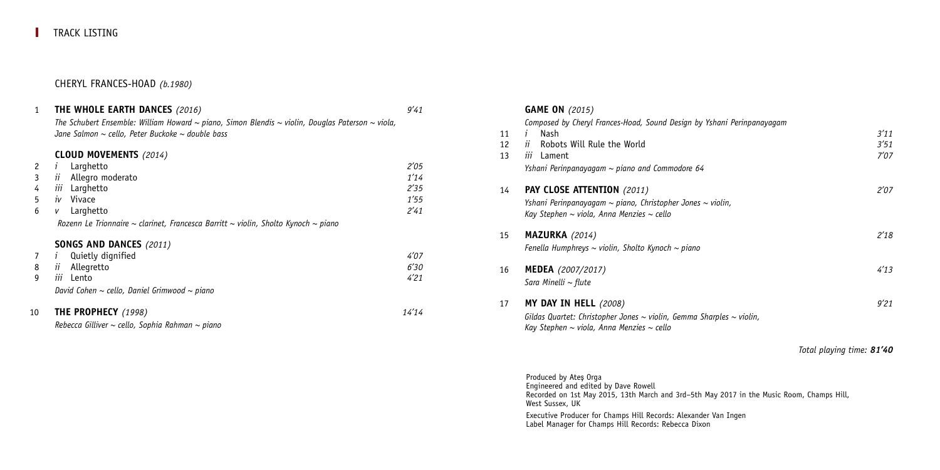#### CHERYL FRANCES-HOAD *(b.1980)*

#### 1 **THE WHOLE EARTH DANCES** *(2016) 9'41*

*The Schubert Ensemble: William Howard ~ piano, Simon Blendis ~ violin, Douglas Paterson ~ viola, Jane Salmon ~ cello, Peter Buckoke ~ double bass*

#### **CLOUD MOVEMENTS** *(2014)*

|  | 2 <i>i</i> Larghetto         | 2'05 |
|--|------------------------------|------|
|  | 3 <i>ii</i> Allegro moderato | 1'14 |
|  | 4 <i>iii</i> Larghetto       | 2'35 |
|  | 5 <i>iv</i> Vivace           | 1'55 |
|  | 6 v Larghetto                | 2'41 |
|  |                              |      |

*Rozenn Le Trionnaire ~ clarinet, Francesca Barritt ~ violin, Sholto Kynoch ~ piano*

#### **SONGS AND DANCES** *(2011)*

| 10 | <b>THE PROPHECY</b> (1998)                             | 14'14 |
|----|--------------------------------------------------------|-------|
|    | David Cohen $\sim$ cello, Daniel Grimwood $\sim$ piano |       |
|    | iii Lento                                              | 4'21  |
|    | 8 <i>ii</i> Allegretto                                 | 6'30  |
|    | 7 <i>i</i> Quietly dignified                           | 4'07  |

*Rebecca Gilliver ~ cello, Sophia Rahman ~ piano* 

#### **GAME ON** *(2015)*

|    | Composed by Cheryl Frances-Hoad, Sound Design by Yshani Perinpanayagam         |                           |
|----|--------------------------------------------------------------------------------|---------------------------|
| 11 | Nash<br>$\mathbf{r}$                                                           | 3'11                      |
| 12 | Robots Will Rule the World<br>ïί                                               | 3'51                      |
| 13 | <i>iii</i> Lament                                                              | 7'07                      |
|    | Yshani Perinpanayagam $\sim$ piano and Commodore 64                            |                           |
| 14 | <b>PAY CLOSE ATTENTION (2011)</b>                                              | 2'07                      |
|    | Yshani Perinpanayagam $\sim$ piano, Christopher Jones $\sim$ violin,           |                           |
|    | Kay Stephen $\sim$ viola, Anna Menzies $\sim$ cello                            |                           |
| 15 | <b>MAZURKA</b> (2014)                                                          | 2'18                      |
|    | Fenella Humphreys $\sim$ violin, Sholto Kynoch $\sim$ piano                    |                           |
| 16 | <b>MEDEA</b> (2007/2017)                                                       | 4'13                      |
|    | Sara Minelli $\sim$ flute                                                      |                           |
| 17 | <b>MY DAY IN HELL</b> (2008)                                                   | 9'21                      |
|    | Gildas Quartet: Christopher Jones $\sim$ violin, Gemma Sharples $\sim$ violin, |                           |
|    | Kay Stephen $\sim$ viola, Anna Menzies $\sim$ cello                            |                           |
|    |                                                                                | Total playing time: 81'40 |

Produced by Ateş Orga Engineered and edited by Dave Rowell Recorded on 1st May 2015, 13th March and 3rd–5th May 2017 in the Music Room, Champs Hill, West Sussex, UK

Executive Producer for Champs Hill Records: Alexander Van Ingen Label Manager for Champs Hill Records: Rebecca Dixon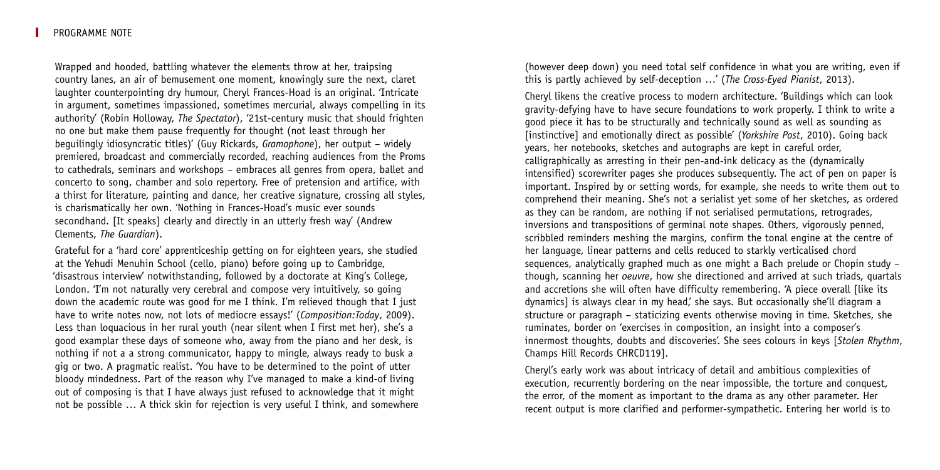#### PROGRAMME NOTE

Wrapped and hooded, battling whatever the elements throw at her, traipsing country lanes, an air of bemusement one moment, knowingly sure the next, claret laughter counterpointing dry humour, Cheryl Frances-Hoad is an original. 'Intricate in argument, sometimes impassioned, sometimes mercurial, always compelling in its authority' (Robin Holloway, *The Spectator*), '21st-century music that should frighten no one but make them pause frequently for thought (not least through her beguilingly idiosyncratic titles)' (Guy Rickards, *Gramophone*), her output – widely premiered, broadcast and commercially recorded, reaching audiences from the Proms to cathedrals, seminars and workshops – embraces all genres from opera, ballet and concerto to song, chamber and solo repertory. Free of pretension and artifice, with a thirst for literature, painting and dance, her creative signature, crossing all styles, is charismatically her own. 'Nothing in Frances-Hoad's music ever sounds secondhand. [It speaks] clearly and directly in an utterly fresh way' (Andrew Clements, *The Guardian*).

Grateful for a 'hard core' apprenticeship getting on for eighteen years, she studied at the Yehudi Menuhin School (cello, piano) before going up to Cambridge, 'disastrous interview' notwithstanding, followed by a doctorate at King's College, London. 'I'm not naturally very cerebral and compose very intuitively, so going down the academic route was good for me I think. I'm relieved though that I just have to write notes now, not lots of mediocre essays!' (*Composition:Today*, 2009). Less than loquacious in her rural youth (near silent when I first met her), she's a good examplar these days of someone who, away from the piano and her desk, is nothing if not a a strong communicator, happy to mingle, always ready to busk a gig or two. A pragmatic realist. 'You have to be determined to the point of utter bloody mindedness. Part of the reason why I've managed to make a kind-of living out of composing is that I have always just refused to acknowledge that it might not be possible … A thick skin for rejection is very useful I think, and somewhere (however deep down) you need total self confidence in what you are writing, even if this is partly achieved by self-deception …' (*The Cross-Eyed Pianist*, 2013).

Cheryl likens the creative process to modern architecture. 'Buildings which can look gravity-defying have to have secure foundations to work properly. I think to write a good piece it has to be structurally and technically sound as well as sounding as [instinctive] and emotionally direct as possible' (*Yorkshire Post*, 2010). Going back years, her notebooks, sketches and autographs are kept in careful order, calligraphically as arresting in their pen-and-ink delicacy as the (dynamically intensified) scorewriter pages she produces subsequently. The act of pen on paper is important. Inspired by or setting words, for example, she needs to write them out to comprehend their meaning. She's not a serialist yet some of her sketches, as ordered as they can be random, are nothing if not serialised permutations, retrogrades, inversions and transpositions of germinal note shapes. Others, vigorously penned, scribbled reminders meshing the margins, confirm the tonal engine at the centre of her language, linear patterns and cells reduced to starkly verticalised chord sequences, analytically graphed much as one might a Bach prelude or Chopin study – though, scanning her *oeuvre*, how she directioned and arrived at such triads, quartals and accretions she will often have difficulty remembering. 'A piece overall [like its dynamics] is always clear in my head,' she says. But occasionally she'll diagram a structure or paragraph – staticizing events otherwise moving in time. Sketches, she ruminates, border on 'exercises in composition, an insight into a composer's innermost thoughts, doubts and discoveries'. She sees colours in keys [*Stolen Rhythm*, Champs Hill Records CHRCD119].

Cheryl's early work was about intricacy of detail and ambitious complexities of execution, recurrently bordering on the near impossible, the torture and conquest, the error, of the moment as important to the drama as any other parameter. Her recent output is more clarified and performer-sympathetic. Entering her world is to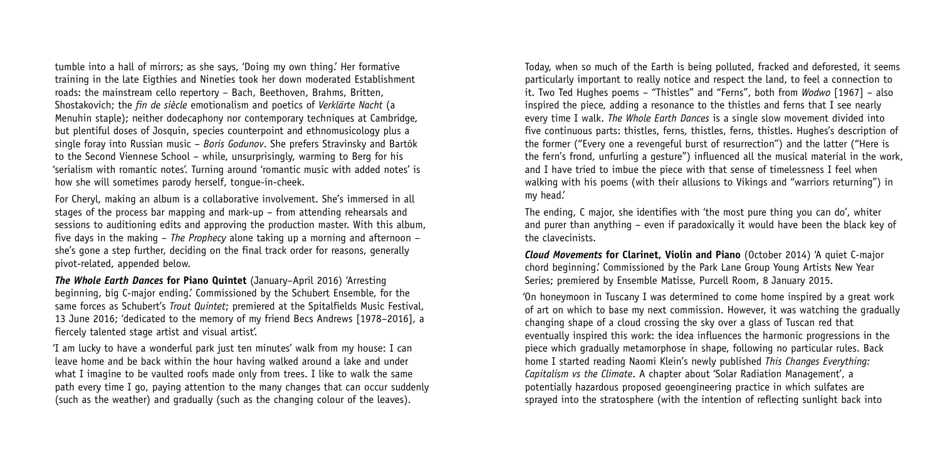tumble into a hall of mirrors; as she says, 'Doing my own thing.' Her formative training in the late Eigthies and Nineties took her down moderated Establishment roads: the mainstream cello repertory – Bach, Beethoven, Brahms, Britten, Shostakovich; the *fin de siècle* emotionalism and poetics of *Verklärte Nacht* (a Menuhin staple); neither dodecaphony nor contemporary techniques at Cambridge, but plentiful doses of Josquin, species counterpoint and ethnomusicology plus a single foray into Russian music – *Boris Godunov*. She prefers Stravinsky and Bartók to the Second Viennese School – while, unsurprisingly, warming to Berg for his 'serialism with romantic notes'. Turning around 'romantic music with added notes' is how she will sometimes parody herself, tongue-in-cheek.

For Cheryl, making an album is a collaborative involvement. She's immersed in all stages of the process bar mapping and mark-up – from attending rehearsals and sessions to auditioning edits and approving the production master. With this album, five days in the making – *The Prophecy* alone taking up a morning and afternoon – she's gone a step further, deciding on the final track order for reasons, generally pivot-related, appended below.

*The Whole Earth Dances* **for Piano Quintet** (January–April 2016) 'Arresting beginning, big C-major ending.' Commissioned by the Schubert Ensemble, for the same forces as Schubert's *Trout Quintet*; premiered at the Spitalfields Music Festival, 13 June 2016; 'dedicated to the memory of my friend Becs Andrews [1978–2016], a fiercely talented stage artist and visual artist'.

'I am lucky to have a wonderful park just ten minutes' walk from my house: I can leave home and be back within the hour having walked around a lake and under what I imagine to be vaulted roofs made only from trees. I like to walk the same path every time I go, paying attention to the many changes that can occur suddenly (such as the weather) and gradually (such as the changing colour of the leaves).

Today, when so much of the Earth is being polluted, fracked and deforested, it seems particularly important to really notice and respect the land, to feel a connection to it. Two Ted Hughes poems – "Thistles" and "Ferns", both from *Wodwo* [1967] – also inspired the piece, adding a resonance to the thistles and ferns that I see nearly every time I walk. *The Whole Earth Dances* is a single slow movement divided into five continuous parts: thistles, ferns, thistles, ferns, thistles. Hughes's description of the former ("Every one a revengeful burst of resurrection") and the latter ("Here is the fern's frond, unfurling a gesture") influenced all the musical material in the work, and I have tried to imbue the piece with that sense of timelessness I feel when walking with his poems (with their allusions to Vikings and "warriors returning") in my head.'

The ending, C major, she identifies with 'the most pure thing you can do', whiter and purer than anything – even if paradoxically it would have been the black key of the clavecinists.

*Cloud Movements* **for Clarinet, Violin and Piano** (October 2014) 'A quiet C-major chord beginning.' Commissioned by the Park Lane Group Young Artists New Year Series; premiered by Ensemble Matisse, Purcell Room, 8 January 2015.

'On honeymoon in Tuscany I was determined to come home inspired by a great work of art on which to base my next commission. However, it was watching the gradually changing shape of a cloud crossing the sky over a glass of Tuscan red that eventually inspired this work: the idea influences the harmonic progressions in the piece which gradually metamorphose in shape, following no particular rules. Back home I started reading Naomi Klein's newly published *This Changes Everything: Capitalism vs the Climate*. A chapter about 'Solar Radiation Management', a potentially hazardous proposed geoengineering practice in which sulfates are sprayed into the stratosphere (with the intention of reflecting sunlight back into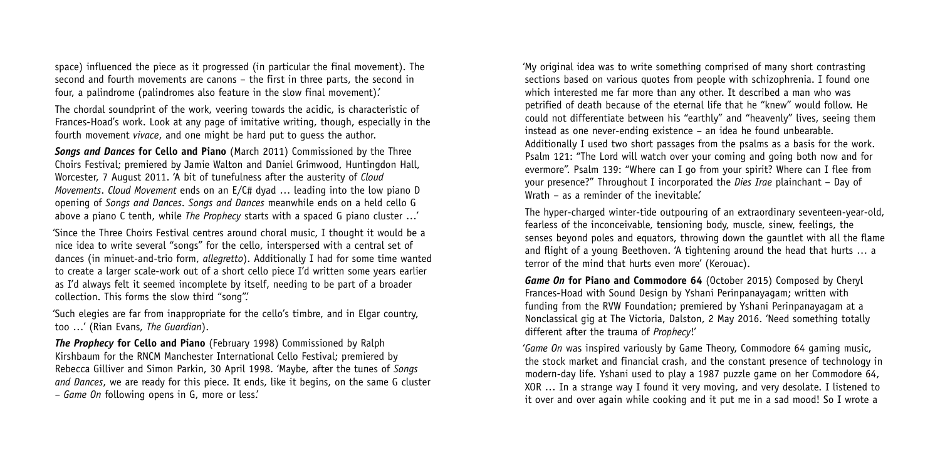space) influenced the piece as it progressed (in particular the final movement). The second and fourth movements are canons – the first in three parts, the second in four, a palindrome (palindromes also feature in the slow final movement).'

The chordal soundprint of the work, veering towards the acidic, is characteristic of Frances-Hoad's work. Look at any page of imitative writing, though, especially in the fourth movement *vivace*, and one might be hard put to guess the author.

*Songs and Dances* **for Cello and Piano** (March 2011) Commissioned by the Three Choirs Festival; premiered by Jamie Walton and Daniel Grimwood, Huntingdon Hall, Worcester, 7 August 2011. 'A bit of tunefulness after the austerity of *Cloud Movements*. *Cloud Movement* ends on an E/C# dyad … leading into the low piano D opening of *Songs and Dances*. *Songs and Dances* meanwhile ends on a held cello G above a piano C tenth, while *The Prophecy* starts with a spaced G piano cluster …'

'Since the Three Choirs Festival centres around choral music, I thought it would be a nice idea to write several "songs" for the cello, interspersed with a central set of dances (in minuet-and-trio form, *allegretto*). Additionally I had for some time wanted to create a larger scale-work out of a short cello piece I'd written some years earlier as I'd always felt it seemed incomplete by itself, needing to be part of a broader collection. This forms the slow third "song".'

'Such elegies are far from inappropriate for the cello's timbre, and in Elgar country, too …' (Rian Evans, *The Guardian*).

*The Prophecy* **for Cello and Piano** (February 1998) Commissioned by Ralph Kirshbaum for the RNCM Manchester International Cello Festival; premiered by Rebecca Gilliver and Simon Parkin, 30 April 1998. 'Maybe, after the tunes of *Songs and Dances*, we are ready for this piece. It ends, like it begins, on the same G cluster – *Game On* following opens in G, more or less.'

'My original idea was to write something comprised of many short contrasting sections based on various quotes from people with schizophrenia. I found one which interested me far more than any other. It described a man who was petrified of death because of the eternal life that he "knew" would follow. He could not differentiate between his "earthly" and "heavenly" lives, seeing them instead as one never-ending existence – an idea he found unbearable. Additionally I used two short passages from the psalms as a basis for the work. Psalm 121: "The Lord will watch over your coming and going both now and for evermore". Psalm 139: "Where can I go from your spirit? Where can I flee from your presence?" Throughout I incorporated the *Dies Irae* plainchant – Day of Wrath – as a reminder of the inevitable'

The hyper-charged winter-tide outpouring of an extraordinary seventeen-year-old, fearless of the inconceivable, tensioning body, muscle, sinew, feelings, the senses beyond poles and equators, throwing down the gauntlet with all the flame and flight of a young Beethoven. 'A tightening around the head that hurts … a terror of the mind that hurts even more' (Kerouac).

*Game On* **for Piano and Commodore 64** (October 2015) Composed by Cheryl Frances-Hoad with Sound Design by Yshani Perinpanayagam; written with funding from the RVW Foundation; premiered by Yshani Perinpanayagam at a Nonclassical gig at The Victoria, Dalston, 2 May 2016. 'Need something totally different after the trauma of *Prophecy*!'

'*Game On* was inspired variously by Game Theory, Commodore 64 gaming music, the stock market and financial crash, and the constant presence of technology in modern-day life. Yshani used to play a 1987 puzzle game on her Commodore 64, XOR … In a strange way I found it very moving, and very desolate. I listened to it over and over again while cooking and it put me in a sad mood! So I wrote a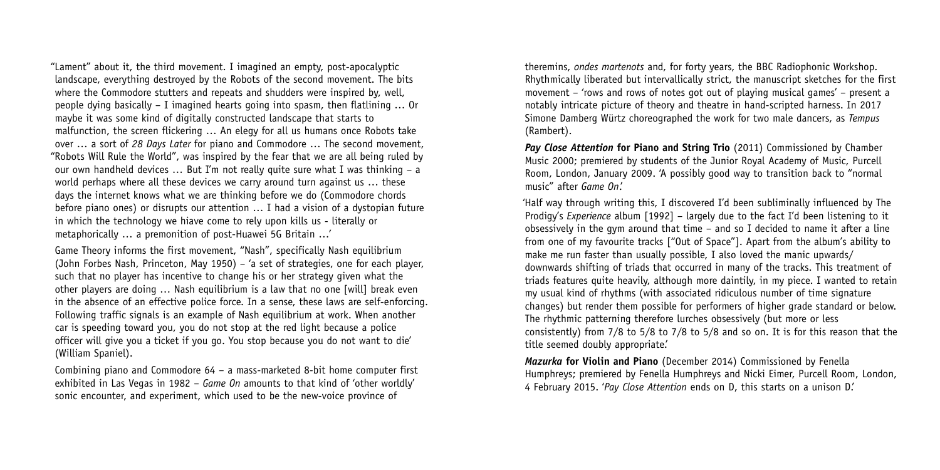"Lament" about it, the third movement. I imagined an empty, post-apocalyptic landscape, everything destroyed by the Robots of the second movement. The bits where the Commodore stutters and repeats and shudders were inspired by, well, people dying basically – I imagined hearts going into spasm, then flatlining … Or maybe it was some kind of digitally constructed landscape that starts to malfunction, the screen flickering … An elegy for all us humans once Robots take over … a sort of *28 Days Later* for piano and Commodore … The second movement, "Robots Will Rule the World", was inspired by the fear that we are all being ruled by our own handheld devices … But I'm not really quite sure what I was thinking – a world perhaps where all these devices we carry around turn against us ... these days the internet knows what we are thinking before we do (Commodore chords before piano ones) or disrupts our attention … I had a vision of a dystopian future in which the technology we hiave come to rely upon kills us - literally or metaphorically … a premonition of post-Huawei 5G Britain …'

Game Theory informs the first movement, "Nash", specifically Nash equilibrium (John Forbes Nash, Princeton, May 1950) – 'a set of strategies, one for each player, such that no player has incentive to change his or her strategy given what the other players are doing … Nash equilibrium is a law that no one [will] break even in the absence of an effective police force. In a sense, these laws are self-enforcing. Following traffic signals is an example of Nash equilibrium at work. When another car is speeding toward you, you do not stop at the red light because a police officer will give you a ticket if you go. You stop because you do not want to die' (William Spaniel).

Combining piano and Commodore 64 – a mass-marketed 8-bit home computer first exhibited in Las Vegas in 1982 – *Game On* amounts to that kind of 'other worldly' sonic encounter, and experiment, which used to be the new-voice province of

theremins, *ondes martenots* and, for forty years, the BBC Radiophonic Workshop. Rhythmically liberated but intervallically strict, the manuscript sketches for the first movement – 'rows and rows of notes got out of playing musical games' – present a notably intricate picture of theory and theatre in hand-scripted harness. In 2017 Simone Damberg Würtz choreographed the work for two male dancers, as *Tempus* (Rambert).

*Pay Close Attention* **for Piano and String Trio** (2011) Commissioned by Chamber Music 2000; premiered by students of the Junior Royal Academy of Music, Purcell Room, London, January 2009. 'A possibly good way to transition back to "normal music" after *Game On*.'

'Half way through writing this, I discovered I'd been subliminally influenced by The Prodigy's *Experience* album [1992] – largely due to the fact I'd been listening to it obsessively in the gym around that time – and so I decided to name it after a line from one of my favourite tracks ["Out of Space"]. Apart from the album's ability to make me run faster than usually possible, I also loved the manic upwards/ downwards shifting of triads that occurred in many of the tracks. This treatment of triads features quite heavily, although more daintily, in my piece. I wanted to retain my usual kind of rhythms (with associated ridiculous number of time signature changes) but render them possible for performers of higher grade standard or below. The rhythmic patterning therefore lurches obsessively (but more or less consistently) from 7/8 to 5/8 to 7/8 to 5/8 and so on. It is for this reason that the title seemed doubly appropriate.'

*Mazurka* **for Violin and Piano** (December 2014) Commissioned by Fenella Humphreys; premiered by Fenella Humphreys and Nicki Eimer, Purcell Room, London, 4 February 2015. '*Pay Close Attention* ends on D, this starts on a unison D.'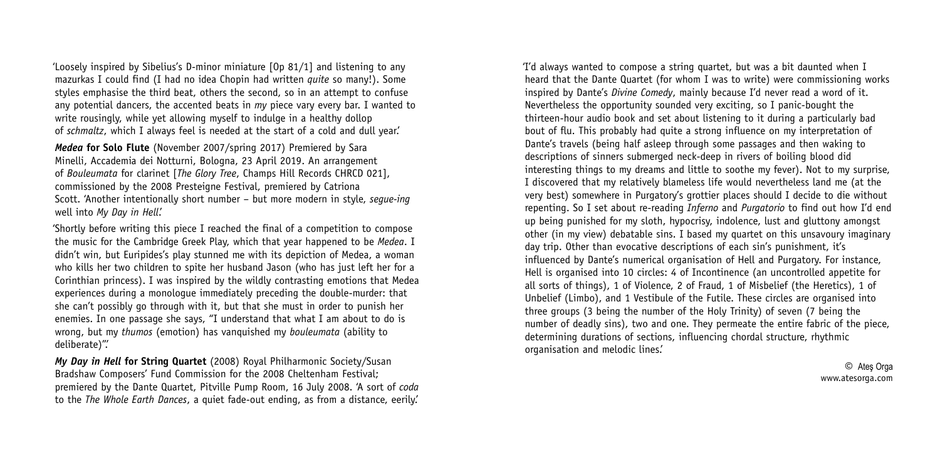'Loosely inspired by Sibelius's D-minor miniature [Op 81/1] and listening to any mazurkas I could find (I had no idea Chopin had written *quite* so many!). Some styles emphasise the third beat, others the second, so in an attempt to confuse any potential dancers, the accented beats in *my* piece vary every bar. I wanted to write rousingly, while yet allowing myself to indulge in a healthy dollop of *schmaltz*, which I always feel is needed at the start of a cold and dull year.'

*Medea* **for Solo Flute** (November 2007/spring 2017) Premiered by Sara Minelli, Accademia dei Notturni, Bologna, 23 April 2019. An arrangement of *Bouleumata* for clarinet [*The Glory Tree*, Champs Hill Records CHRCD 021], commissioned by the 2008 Presteigne Festival, premiered by Catriona Scott. 'Another intentionally short number – but more modern in style, *segue-ing* well into *My Day in Hell*.'

'Shortly before writing this piece I reached the final of a competition to compose the music for the Cambridge Greek Play, which that year happened to be *Medea*. I didn't win, but Euripides's play stunned me with its depiction of Medea, a woman who kills her two children to spite her husband Jason (who has just left her for a Corinthian princess). I was inspired by the wildly contrasting emotions that Medea experiences during a monologue immediately preceding the double-murder: that she can't possibly go through with it, but that she must in order to punish her enemies. In one passage she says, "I understand that what I am about to do is wrong, but my *thumos* (emotion) has vanquished my *bouleumata* (ability to deliberate)".'

*My Day in Hell* **for String Quartet** (2008) Royal Philharmonic Society/Susan Bradshaw Composers' Fund Commission for the 2008 Cheltenham Festival; premiered by the Dante Quartet, Pitville Pump Room, 16 July 2008. 'A sort of *coda* to the *The Whole Earth Dances*, a quiet fade-out ending, as from a distance, eerily.'

'I'd always wanted to compose a string quartet, but was a bit daunted when I heard that the Dante Quartet (for whom I was to write) were commissioning works inspired by Dante's *Divine Comedy*, mainly because I'd never read a word of it. Nevertheless the opportunity sounded very exciting, so I panic-bought the thirteen-hour audio book and set about listening to it during a particularly bad bout of flu. This probably had quite a strong influence on my interpretation of Dante's travels (being half asleep through some passages and then waking to descriptions of sinners submerged neck-deep in rivers of boiling blood did interesting things to my dreams and little to soothe my fever). Not to my surprise, I discovered that my relatively blameless life would nevertheless land me (at the very best) somewhere in Purgatory's grottier places should I decide to die without repenting. So I set about re-reading *Inferno* and *Purgatorio* to find out how I'd end up being punished for my sloth, hypocrisy, indolence, lust and gluttony amongst other (in my view) debatable sins. I based my quartet on this unsavoury imaginary day trip. Other than evocative descriptions of each sin's punishment, it's influenced by Dante's numerical organisation of Hell and Purgatory. For instance, Hell is organised into 10 circles: 4 of Incontinence (an uncontrolled appetite for all sorts of things), 1 of Violence, 2 of Fraud, 1 of Misbelief (the Heretics), 1 of Unbelief (Limbo), and 1 Vestibule of the Futile. These circles are organised into three groups (3 being the number of the Holy Trinity) of seven (7 being the number of deadly sins), two and one. They permeate the entire fabric of the piece, determining durations of sections, influencing chordal structure, rhythmic organisation and melodic lines.'

> © Ateş Orga www.atesorga.com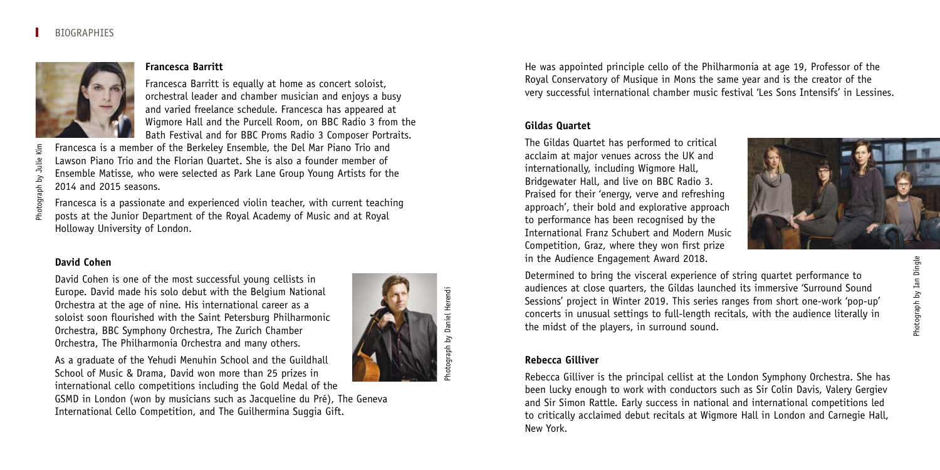

## **Francesca Barritt**

Francesca Barritt is equally at home as concert soloist, orchestral leader and chamber musician and enjoys a busy and varied freelance schedule. Francesca has appeared at Wigmore Hall and the Purcell Room, on BBC Radio 3 from the Bath Festival and for BBC Proms Radio 3 Composer Portraits.

Francesca is a member of the Berkeley Ensemble, the Del Mar Piano Trio and Lawson Piano Trio and the Florian Quartet. She is also a founder member of Ensemble Matisse, who were selected as Park Lane Group Young Artists for the 2014 and 2015 seasons.

Francesca is a passionate and experienced violin teacher, with current teaching posts at the Junior Department of the Royal Academy of Music and at Royal Holloway University of London.

## **David Cohen**

Photograph by Julie Kim

David Cohen is one of the most successful young cellists in Europe. David made his solo debut with the Belgium National Orchestra at the age of nine. His international career as a soloist soon flourished with the Saint Petersburg Philharmonic Orchestra, BBC Symphony Orchestra, The Zurich Chamber Orchestra, The Philharmonia Orchestra and many others.

As a graduate of the Yehudi Menuhin School and the Guildhall School of Music & Drama, David won more than 25 prizes in international cello competitions including the Gold Medal of the

GSMD in London (won by musicians such as Jacqueline du Pré), The Geneva International Cello Competition, and The Guilhermina Suggia Gift.



Photograph by Daniel Herendi

He was appointed principle cello of the Philharmonia at age 19, Professor of the Royal Conservatory of Musique in Mons the same year and is the creator of the very successful international chamber music festival 'Les Sons Intensifs' in Lessines.

## **Gildas Quartet**

The Gildas Quartet has performed to critical acclaim at major venues across the UK and internationally, including Wigmore Hall, Bridgewater Hall, and live on BBC Radio 3. Praised for their 'energy, verve and refreshing approach', their bold and explorative approach to performance has been recognised by the International Franz Schubert and Modern Music Competition, Graz, where they won first prize in the Audience Engagement Award 2018.



Determined to bring the visceral experience of string quartet performance to audiences at close quarters, the Gildas launched its immersive 'Surround Sound Sessions' project in Winter 2019. This series ranges from short one-work 'pop-up' concerts in unusual settings to full-length recitals, with the audience literally in the midst of the players, in surround sound.

## **Rebecca Gilliver**

Rebecca Gilliver is the principal cellist at the London Symphony Orchestra. She has been lucky enough to work with conductors such as Sir Colin Davis, Valery Gergiev and Sir Simon Rattle. Early success in national and international competitions led to critically acclaimed debut recitals at Wigmore Hall in London and Carnegie Hall, New York.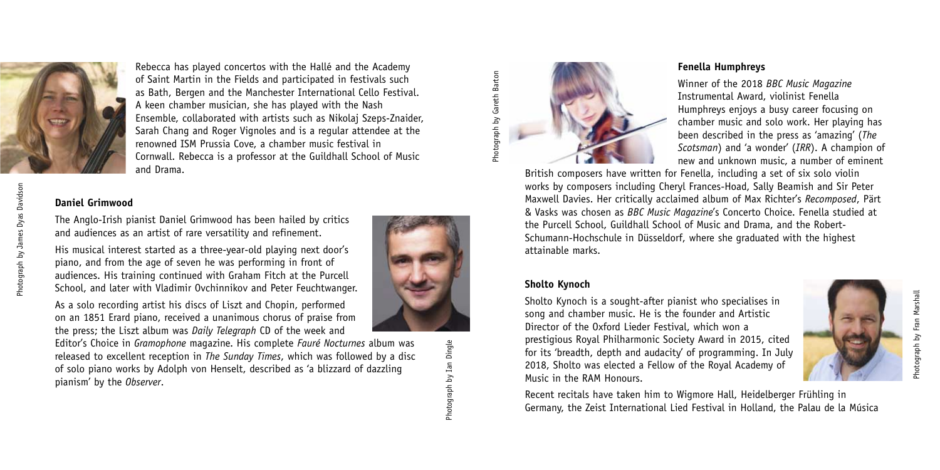

Rebecca has played concertos with the Hallé and the Academy of Saint Martin in the Fields and participated in festivals such as Bath, Bergen and the Manchester International Cello Festival. A keen chamber musician, she has played with the Nash Ensemble, collaborated with artists such as Nikolaj Szeps-Znaider, Sarah Chang and Roger Vignoles and is a regular attendee at the renowned ISM Prussia Cove, a chamber music festival in Cornwall. Rebecca is a professor at the Guildhall School of Music and Drama.

## **Daniel Grimwood**

The Anglo-Irish pianist Daniel Grimwood has been hailed by critics and audiences as an artist of rare versatility and refinement.

His musical interest started as a three-year-old playing next door's piano, and from the age of seven he was performing in front of audiences. His training continued with Graham Fitch at the Purcell School, and later with Vladimir Ovchinnikov and Peter Feuchtwanger.

As a solo recording artist his discs of Liszt and Chopin, performed on an 1851 Erard piano, received a unanimous chorus of praise from the press; the Liszt album was *Daily Telegraph* CD of the week and

Editor's Choice in *Gramophone* magazine. His complete *Fauré Nocturnes* album was released to excellent reception in *The Sunday Times*, which was followed by a disc of solo piano works by Adolph von Henselt, described as 'a blizzard of dazzling pianism' by the *Observer*.



## **Fenella Humphreys**

Winner of the 2018 *BBC Music Magazine* Instrumental Award, violinist Fenella Humphreys enjoys a busy career focusing on chamber music and solo work. Her playing has been described in the press as 'amazing' (*The Scotsman*) and 'a wonder' (*IRR*). A champion of new and unknown music, a number of eminent

British composers have written for Fenella, including a set of six solo violin works by composers including Cheryl Frances-Hoad, Sally Beamish and Sir Peter Maxwell Davies. Her critically acclaimed album of Max Richter's *Recomposed*, Pärt & Vasks was chosen as *BBC Music Magazine*'s Concerto Choice. Fenella studied at the Purcell School, Guildhall School of Music and Drama, and the Robert-Schumann-Hochschule in Düsseldorf, where she graduated with the highest attainable marks.

## **Sholto Kynoch**

Sholto Kynoch is a sought-after pianist who specialises in song and chamber music. He is the founder and Artistic Director of the Oxford Lieder Festival, which won a prestigious Royal Philharmonic Society Award in 2015, cited for its 'breadth, depth and audacity' of programming. In July 2018, Sholto was elected a Fellow of the Royal Academy of Music in the RAM Honours.



Recent recitals have taken him to Wigmore Hall, Heidelberger Frühling in Germany, the Zeist International Lied Festival in Holland, the Palau de la Música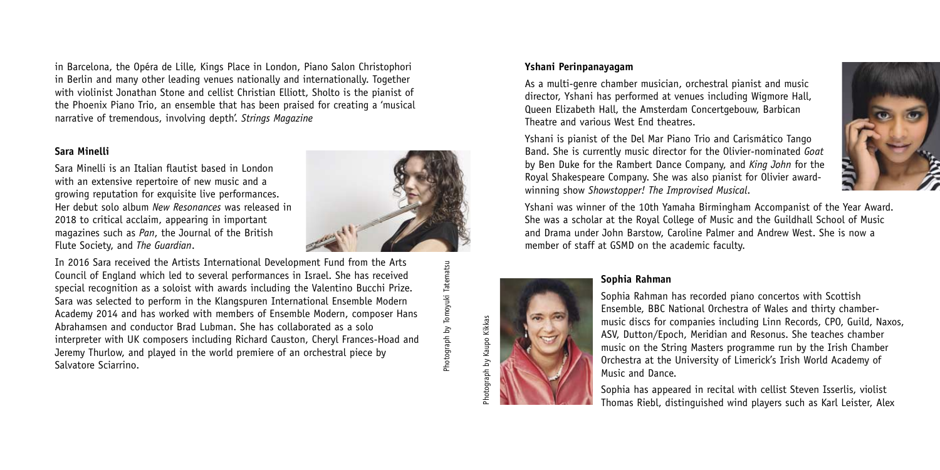in Barcelona, the Opéra de Lille, Kings Place in London, Piano Salon Christophori in Berlin and many other leading venues nationally and internationally. Together with violinist Jonathan Stone and cellist Christian Elliott, Sholto is the pianist of the Phoenix Piano Trio, an ensemble that has been praised for creating a 'musical narrative of tremendous, involving depth'. *Strings Magazine*

## **Sara Minelli**

Sara Minelli is an Italian flautist based in London with an extensive repertoire of new music and a growing reputation for exquisite live performances. Her debut solo album *New Resonances* was released in 2018 to critical acclaim, appearing in important magazines such as *Pan*, the Journal of the British Flute Society, and *The Guardian*.

In 2016 Sara received the Artists International Development Fund from the Arts Council of England which led to several performances in Israel. She has received special recognition as a soloist with awards including the Valentino Bucchi Prize. Sara was selected to perform in the Klangspuren International Ensemble Modern Academy 2014 and has worked with members of Ensemble Modern, composer Hans Abrahamsen and conductor Brad Lubman. She has collaborated as a solo interpreter with UK composers including Richard Causton, Cheryl Frances-Hoad and Jeremy Thurlow, and played in the world premiere of an orchestral piece by Salvatore Sciarrino.

Photograph by Tomoyuki TatematsuPhotograph by Tomoyuki Tatematsu

Photograph by Kaupo Kikkas

otograph by Kaupo Kikkas

#### **Yshani Perinpanayagam**

As a multi-genre chamber musician, orchestral pianist and music director, Yshani has performed at venues including Wigmore Hall, Queen Elizabeth Hall, the Amsterdam Concertgebouw, Barbican Theatre and various West End theatres.

Yshani is pianist of the Del Mar Piano Trio and Carismático Tango Band. She is currently music director for the Olivier-nominated *Goat* by Ben Duke for the Rambert Dance Company, and *King John* for the Royal Shakespeare Company. She was also pianist for Olivier awardwinning show *Showstopper! The Improvised Musical*.

Yshani was winner of the 10th Yamaha Birmingham Accompanist of the Year Award. She was a scholar at the Royal College of Music and the Guildhall School of Music and Drama under John Barstow, Caroline Palmer and Andrew West. She is now a member of staff at GSMD on the academic faculty.

## **Sophia Rahman**

Sophia Rahman has recorded piano concertos with Scottish Ensemble, BBC National Orchestra of Wales and thirty chambermusic discs for companies including Linn Records, CPO, Guild, Naxos, ASV, Dutton/Epoch, Meridian and Resonus. She teaches chamber music on the String Masters programme run by the Irish Chamber Orchestra at the University of Limerick's Irish World Academy of Music and Dance.

Sophia has appeared in recital with cellist Steven Isserlis, violist Thomas Riebl, distinguished wind players such as Karl Leister, Alex